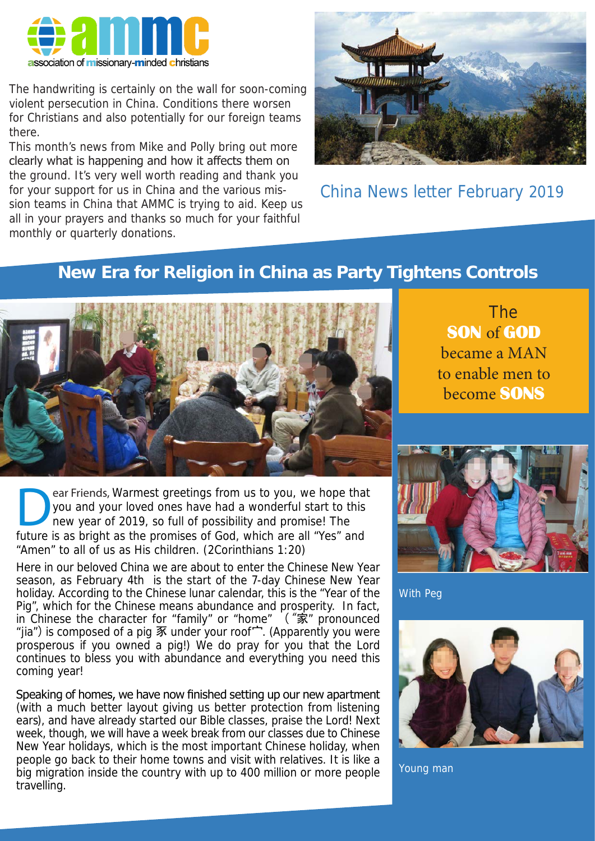

The handwriting is certainly on the wall for soon-coming violent persecution in China. Conditions there worsen for Christians and also potentially for our foreign teams there.

This month's news from Mike and Polly bring out more clearly what is happening and how it affects them on the ground. It's very well worth reading and thank you for your support for us in China and the various mission teams in China that AMMC is trying to aid. Keep us all in your prayers and thanks so much for your faithful monthly or quarterly donations.



China News letter February 2019

## **New Era for Religion in China as Party Tightens Controls**



ear Friends, Warmest greetings from us to you, we hope that you and your loved ones have had a wonderful start to this new year of 2019, so full of possibility and promise! The future is as bright as the promises of God, which are all "Yes" and "Amen" to all of us as His children. (2Corinthians 1:20)

Here in our beloved China we are about to enter the Chinese New Year season, as February 4th is the start of the 7-day Chinese New Year holiday. According to the Chinese lunar calendar, this is the "Year of the Pig", which for the Chinese means abundance and prosperity. In fact, in Chinese the character for "family" or "home" ("家" pronounced "jia") is composed of a pig 豕 under your roof宀. (Apparently you were prosperous if you owned a pig!) We do pray for you that the Lord continues to bless you with abundance and everything you need this coming year!

Speaking of homes, we have now finished setting up our new apartment (with a much better layout giving us better protection from listening ears), and have already started our Bible classes, praise the Lord! Next week, though, we will have a week break from our classes due to Chinese New Year holidays, which is the most important Chinese holiday, when people go back to their home towns and visit with relatives. It is like a big migration inside the country with up to 400 million or more people travelling.

 The SON of GOD became a MAN to enable men to become SONS



With Peg



Young man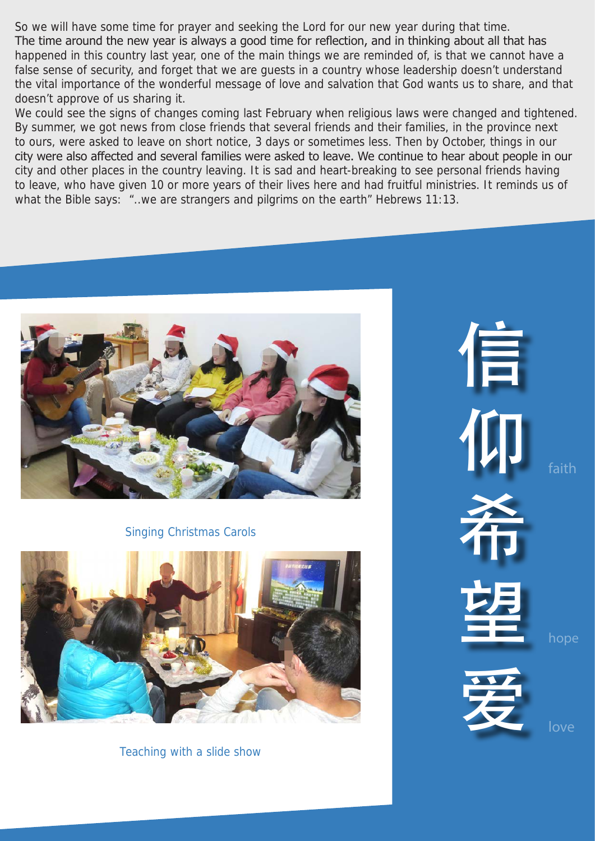So we will have some time for prayer and seeking the Lord for our new year during that time. The time around the new year is always a good time for reflection, and in thinking about all that has happened in this country last year, one of the main things we are reminded of, is that we cannot have a false sense of security, and forget that we are guests in a country whose leadership doesn't understand the vital importance of the wonderful message of love and salvation that God wants us to share, and that doesn't approve of us sharing it.

We could see the signs of changes coming last February when religious laws were changed and tightened. By summer, we got news from close friends that several friends and their families, in the province next to ours, were asked to leave on short notice, 3 days or sometimes less. Then by October, things in our city were also affected and several families were asked to leave. We continue to hear about people in our city and other places in the country leaving. It is sad and heart-breaking to see personal friends having to leave, who have given 10 or more years of their lives here and had fruitful ministries. It reminds us of what the Bible says: "..we are strangers and pilgrims on the earth" Hebrews 11:13.



Singing Christmas Carols



Teaching with a slide show

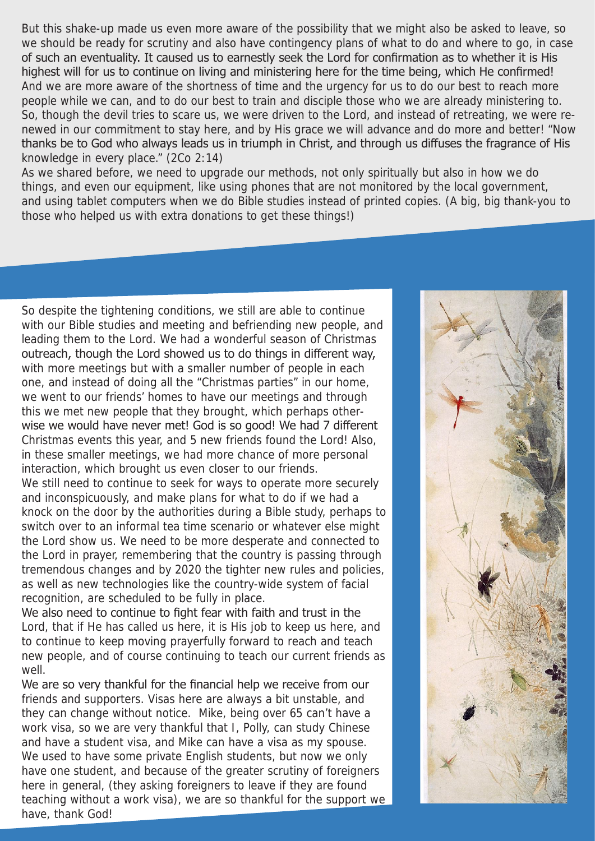But this shake-up made us even more aware of the possibility that we might also be asked to leave, so we should be ready for scrutiny and also have contingency plans of what to do and where to go, in case of such an eventuality. It caused us to earnestly seek the Lord for confirmation as to whether it is His highest will for us to continue on living and ministering here for the time being, which He confirmed! And we are more aware of the shortness of time and the urgency for us to do our best to reach more people while we can, and to do our best to train and disciple those who we are already ministering to. So, though the devil tries to scare us, we were driven to the Lord, and instead of retreating, we were renewed in our commitment to stay here, and by His grace we will advance and do more and better! "Now thanks be to God who always leads us in triumph in Christ, and through us diffuses the fragrance of His knowledge in every place." (2Co 2:14)

As we shared before, we need to upgrade our methods, not only spiritually but also in how we do things, and even our equipment, like using phones that are not monitored by the local government, and using tablet computers when we do Bible studies instead of printed copies. (A big, big thank-you to those who helped us with extra donations to get these things!)

So despite the tightening conditions, we still are able to continue with our Bible studies and meeting and befriending new people, and leading them to the Lord. We had a wonderful season of Christmas outreach, though the Lord showed us to do things in different way, with more meetings but with a smaller number of people in each one, and instead of doing all the "Christmas parties" in our home, we went to our friends' homes to have our meetings and through this we met new people that they brought, which perhaps otherwise we would have never met! God is so good! We had 7 different Christmas events this year, and 5 new friends found the Lord! Also, in these smaller meetings, we had more chance of more personal interaction, which brought us even closer to our friends. We still need to continue to seek for ways to operate more securely and inconspicuously, and make plans for what to do if we had a knock on the door by the authorities during a Bible study, perhaps to switch over to an informal tea time scenario or whatever else might the Lord show us. We need to be more desperate and connected to the Lord in prayer, remembering that the country is passing through tremendous changes and by 2020 the tighter new rules and policies, as well as new technologies like the country-wide system of facial recognition, are scheduled to be fully in place.

We also need to continue to fight fear with faith and trust in the Lord, that if He has called us here, it is His job to keep us here, and to continue to keep moving prayerfully forward to reach and teach new people, and of course continuing to teach our current friends as well.

We are so very thankful for the financial help we receive from our friends and supporters. Visas here are always a bit unstable, and they can change without notice. Mike, being over 65 can't have a work visa, so we are very thankful that I, Polly, can study Chinese and have a student visa, and Mike can have a visa as my spouse. We used to have some private English students, but now we only have one student, and because of the greater scrutiny of foreigners here in general, (they asking foreigners to leave if they are found teaching without a work visa), we are so thankful for the support we have, thank God!